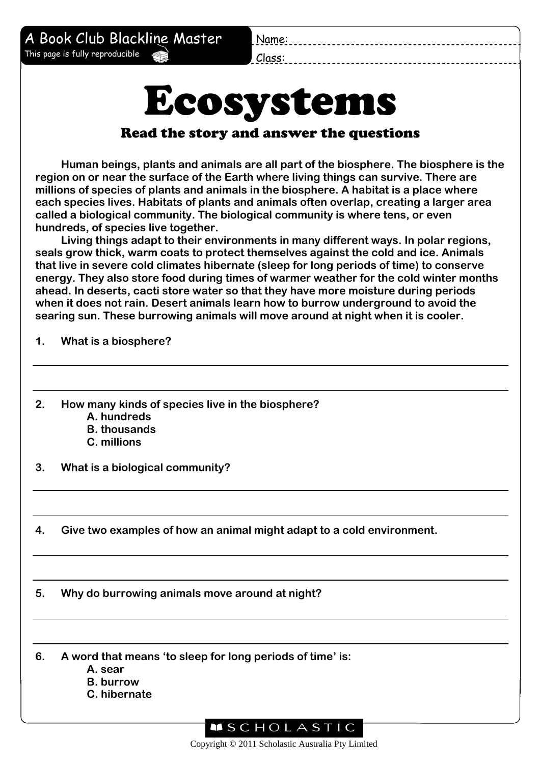Name:

A Book Club Blackline Master This page is fully reproducible

Class:

## Ecosystems

## Read the story and answer the questions

**Human beings, plants and animals are all part of the biosphere. The biosphere is the region on or near the surface of the Earth where living things can survive. There are millions of species of plants and animals in the biosphere. A habitat is a place where each species lives. Habitats of plants and animals often overlap, creating a larger area called a biological community. The biological community is where tens, or even hundreds, of species live together.**

**Living things adapt to their environments in many different ways. In polar regions, seals grow thick, warm coats to protect themselves against the cold and ice. Animals that live in severe cold climates hibernate (sleep for long periods of time) to conserve energy. They also store food during times of warmer weather for the cold winter months ahead. In deserts, cacti store water so that they have more moisture during periods when it does not rain. Desert animals learn how to burrow underground to avoid the searing sun. These burrowing animals will move around at night when it is cooler.**

**1. What is a biosphere?**

- **2. How many kinds of species live in the biosphere?**
	- **A. hundreds**
	- **B. thousands**
	- **C. millions**
- **3. What is a biological community?**
- **4. Give two examples of how an animal might adapt to a cold environment.**

**5. Why do burrowing animals move around at night?**

**6. A word that means 'to sleep for long periods of time' is:**

- **A. sear**
- **B. burrow**
- **C. hibernate**



Copyright © 2011 Scholastic Australia Pty Limited